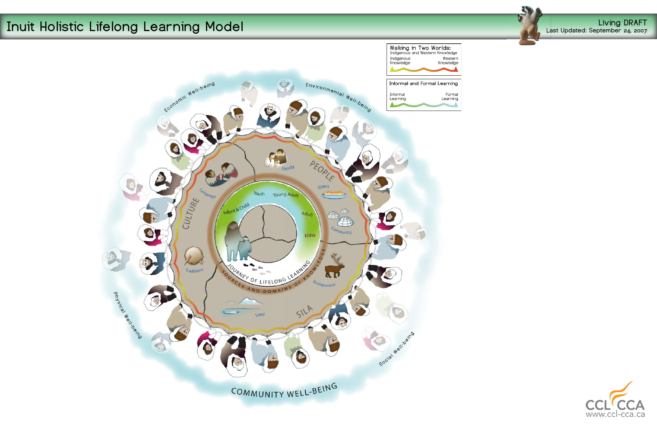## **Living DRAFT Inuit Holistic Lifelong Learning Model Living DRAFT Last Updated: September 24, 2007**